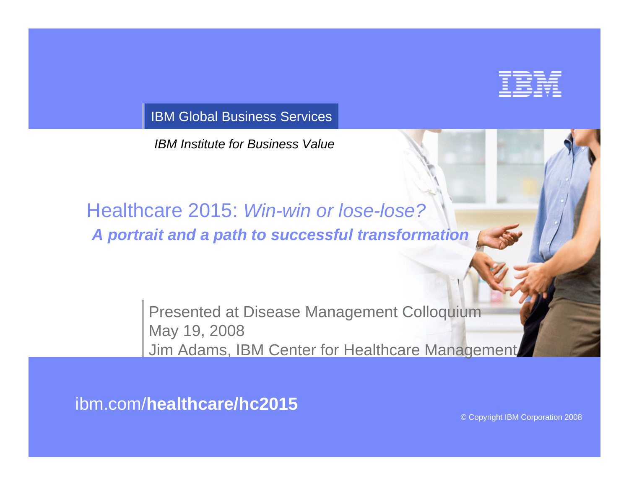

IBM Global Business Services

*IBM Institute for Business Value*

## Healthcare 2015: *Win-win or lose-lose? A portrait and a path to successful transformation*

Presented at Disease Management Colloquium May 19, 2008 Jim Adams, IBM Center for Healthcare Management

ibm.com/**healthcare/hc2015**

© Copyright IBM Corporation 2008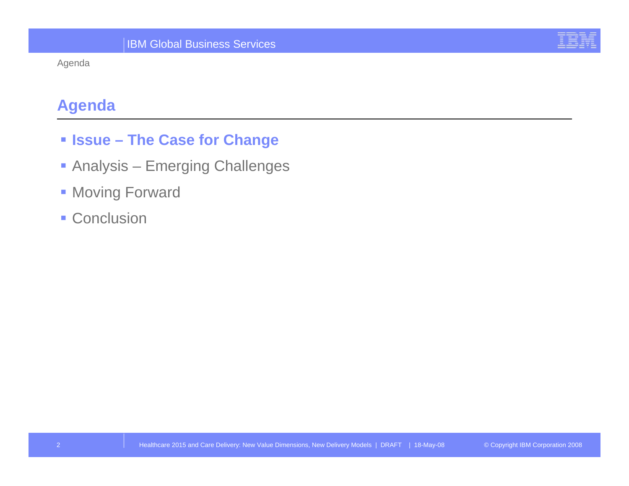#### Agenda

## **Agenda**

- **Issue – The Case for Change**
- **Analysis Emerging Challenges**
- **Moving Forward**
- **Conclusion**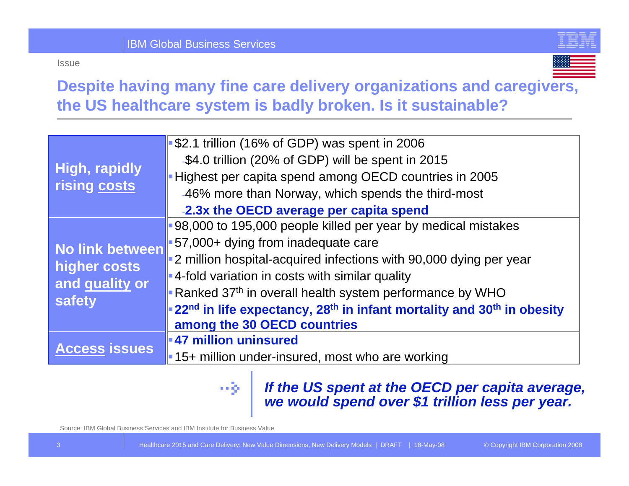



## **Despite having many fine care delivery organizations and caregivers, the US healthcare system is badly broken. Is it sustainable?**

| High, rapidly<br>rising costs                               | $\blacktriangleright$ \$2.1 trillion (16% of GDP) was spent in 2006                                       |  |
|-------------------------------------------------------------|-----------------------------------------------------------------------------------------------------------|--|
|                                                             | -\$4.0 trillion (20% of GDP) will be spent in 2015                                                        |  |
|                                                             | Highest per capita spend among OECD countries in 2005                                                     |  |
|                                                             | -46% more than Norway, which spends the third-most                                                        |  |
|                                                             | -2.3x the OECD average per capita spend                                                                   |  |
| No link between<br>higher costs<br>and quality or<br>safety | 98,000 to 195,000 people killed per year by medical mistakes                                              |  |
|                                                             | $\blacktriangleright$ 57,000+ dying from inadequate care                                                  |  |
|                                                             | $\blacktriangleright$ 2 million hospital-acquired infections with 90,000 dying per year                   |  |
|                                                             | $\blacktriangleright$ 4-fold variation in costs with similar quality                                      |  |
|                                                             | Ranked 37 <sup>th</sup> in overall health system performance by WHO                                       |  |
|                                                             | 22 <sup>nd</sup> in life expectancy, 28 <sup>th</sup> in infant mortality and 30 <sup>th</sup> in obesity |  |
|                                                             | among the 30 OECD countries                                                                               |  |
| <b>Access issues</b>                                        | $\blacktriangleright$ 47 million uninsured                                                                |  |
|                                                             | $\parallel$ 15+ million under-insured, most who are working                                               |  |

# a a 25a

### *If the US spent at the OECD per capita average, we would spend over \$1 trillion less per year.*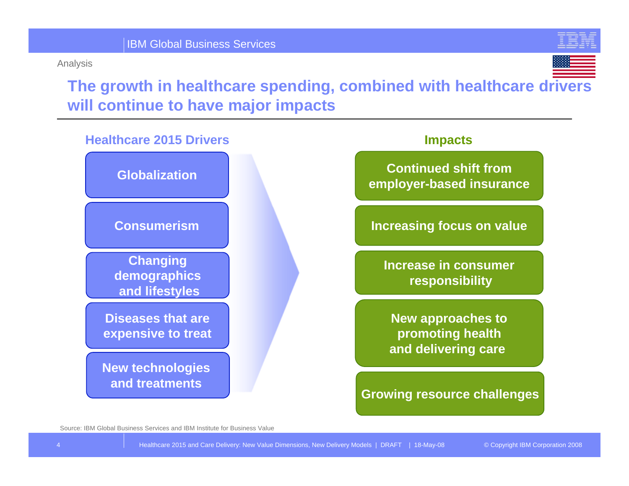#### Analysis





**The growth in healthcare spending, combined with healthcare drivers will continue to have major impacts**



#### **Impacts**

**Continued shift fromemployer-based insurance**

**Increasing focus on value**

**Increase in consumerresponsibility**

**New approaches to promoting health and delivering care** 

**Growing resource challenges**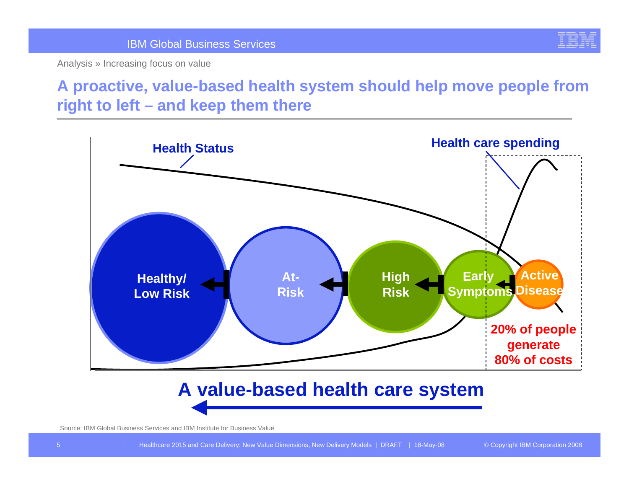

## **A proactive, value-based health system should help move people from right to left – and keep them there**



## **A value-based health care system**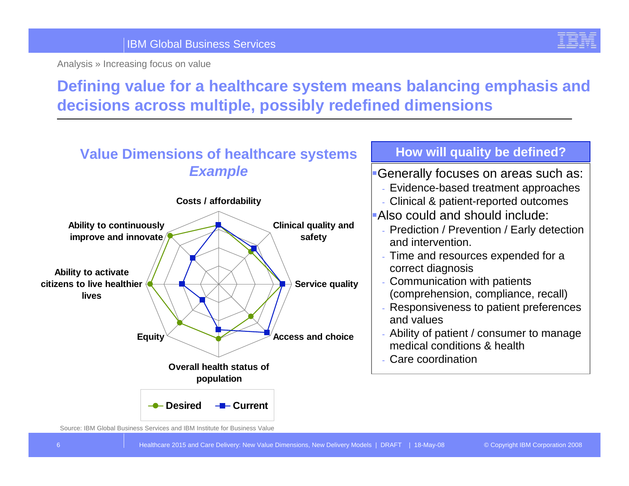

## **Defining value for a healthcare system means balancing emphasis and decisions across multiple, possibly redefined dimensions**

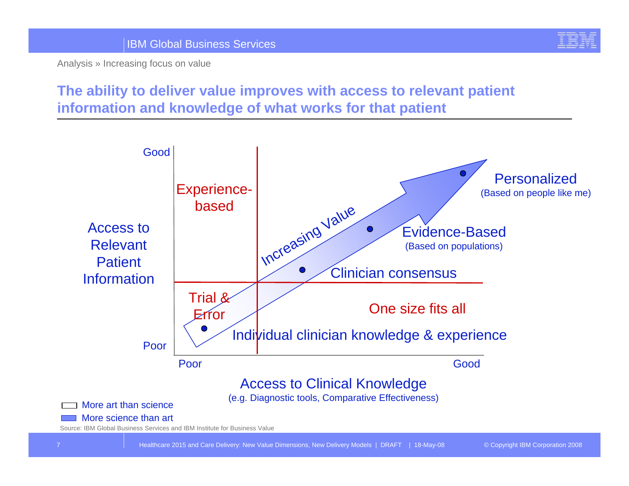

### **The ability to deliver value improves with access to relevant patient information and knowledge of what works for that patient**

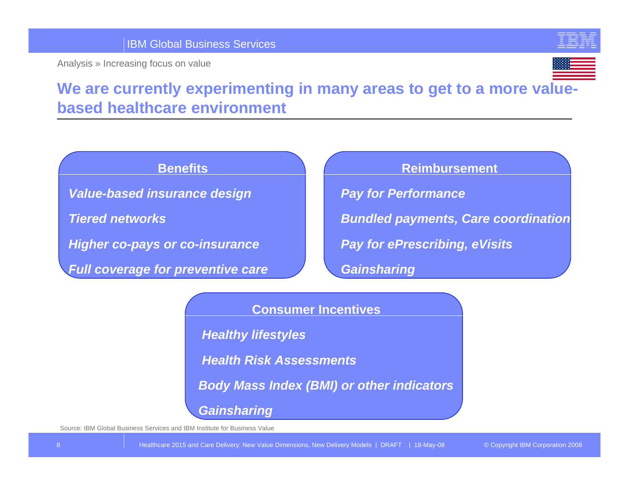

## **We are currently experimenting in many areas to get to a more valuebased healthcare environment**

#### **Benefits**

*Value-based insurance design*

*Tiered networks*

*Higher co-pays or co-insurance*

*Full coverage for preventive care*

#### **Reimbursement**

*Pay for Performance*

*Bundled payments, Care coordination*

*Pay for ePrescribing, eVisits*

*Gainsharing*

#### **Consumer Incentives**

*Healthy lifestyles*

*Health Risk Assessments*

*Body Mass Index (BMI) or other indicators*

*Gainsharing*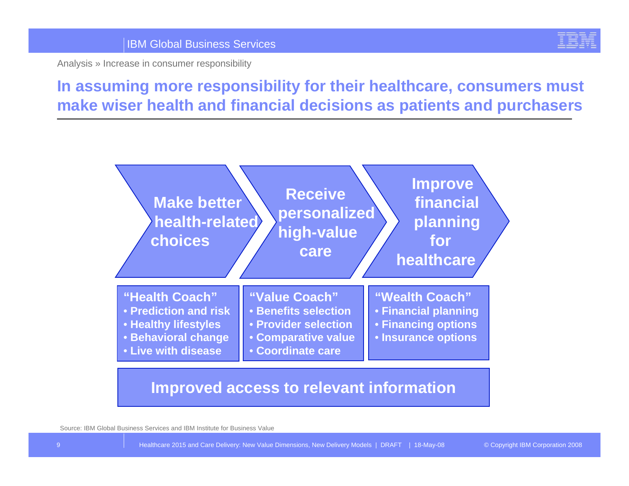

**In assuming more responsibility for their healthcare, consumers must make wiser health and financial decisions as patients and purchasers**



**Improved access to relevant information**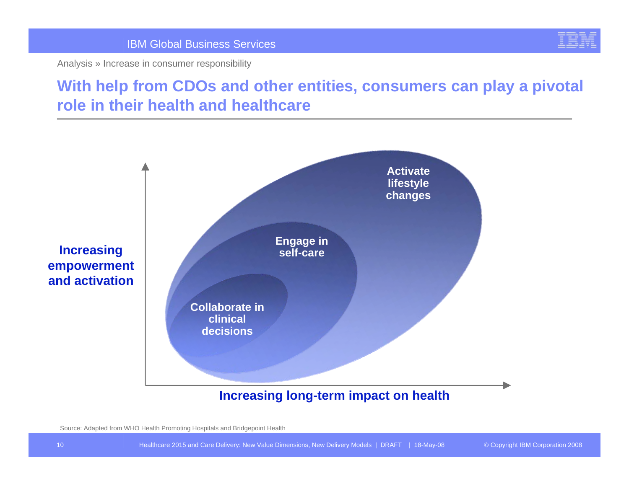

## **With help from CDOs and other entities, consumers can play a pivotal role in their health and healthcare**



#### **Increasing long-term impact on health**

Source: Adapted from WHO Health Promoting Hospitals and Bridgepoint Health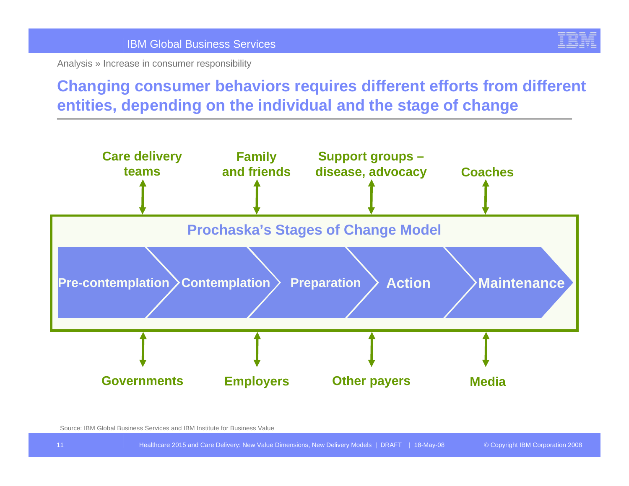

## **Changing consumer behaviors requires different efforts from different entities, depending on the individual and the stage of change**

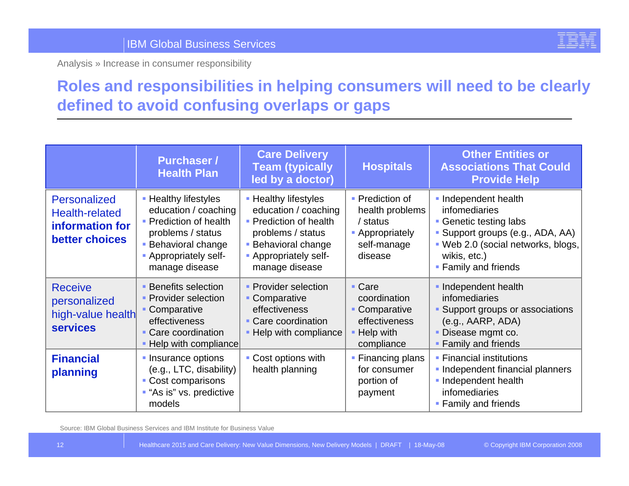

## **Roles and responsibilities in helping consumers will need to be clearly defined to avoid confusing overlaps or gaps**

|                                                                                   | <b>Purchaser /</b><br><b>Health Plan</b>                                                                                                                           | <b>Care Delivery</b><br><b>Team (typically</b><br>led by a doctor)                                                                                                 | <b>Hospitals</b>                                                                            | <b>Other Entities or</b><br><b>Associations That Could</b><br><b>Provide Help</b>                                                                                             |
|-----------------------------------------------------------------------------------|--------------------------------------------------------------------------------------------------------------------------------------------------------------------|--------------------------------------------------------------------------------------------------------------------------------------------------------------------|---------------------------------------------------------------------------------------------|-------------------------------------------------------------------------------------------------------------------------------------------------------------------------------|
| <b>Personalized</b><br><b>Health-related</b><br>information for<br>better choices | • Healthy lifestyles<br>education / coaching<br>• Prediction of health<br>problems / status<br><b>Behavioral change</b><br>- Appropriately self-<br>manage disease | • Healthy lifestyles<br>education / coaching<br>• Prediction of health<br>problems / status<br><b>Behavioral change</b><br>- Appropriately self-<br>manage disease | • Prediction of<br>health problems<br>/ status<br>• Appropriately<br>self-manage<br>disease | Independent health<br>infomediaries<br>• Genetic testing labs<br>Support groups (e.g., ADA, AA)<br>- Web 2.0 (social networks, blogs,<br>wikis, etc.)<br>• Family and friends |
| <b>Receive</b><br>personalized<br>high-value health<br><b>services</b>            | <b>Benefits selection</b><br>• Provider selection<br>Comparative<br>effectiveness<br>• Care coordination<br>• Help with compliance                                 | • Provider selection<br>• Comparative<br>effectiveness<br>• Care coordination<br>- Help with compliance                                                            | • Care<br>coordination<br>• Comparative<br>effectiveness<br>- Help with<br>compliance       | Independent health<br>infomediaries<br>Support groups or associations<br>(e.g., AARP, ADA)<br>Disease mgmt co.<br>• Family and friends                                        |
| <b>Financial</b><br>planning                                                      | • Insurance options<br>(e.g., LTC, disability)<br>• Cost comparisons<br><b>-</b> "As is" vs. predictive<br>models                                                  | • Cost options with<br>health planning                                                                                                                             | • Financing plans<br>for consumer<br>portion of<br>payment                                  | • Financial institutions<br>- Independent financial planners<br>Independent health<br>infomediaries<br>• Family and friends                                                   |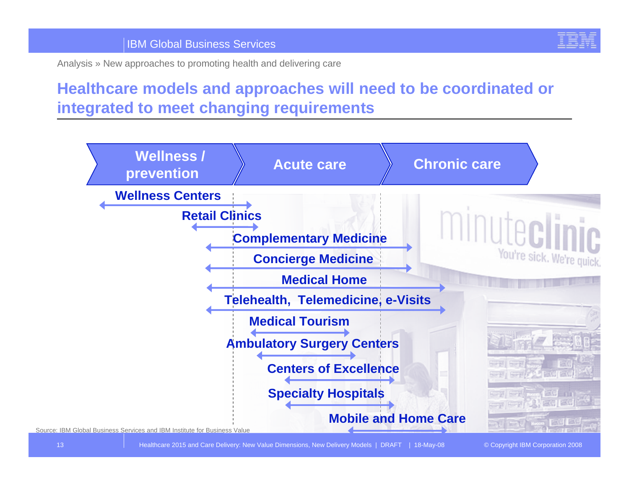

Analysis » New approaches to promoting health and delivering care

## **Healthcare models and approaches will need to be coordinated or integrated to meet changing requirements**



Healthcare 2015 and Care Delivery: New Value Dimensions, New Delivery Models | DRAFT | 18-May-08 © Copyright IBM Corporation 2008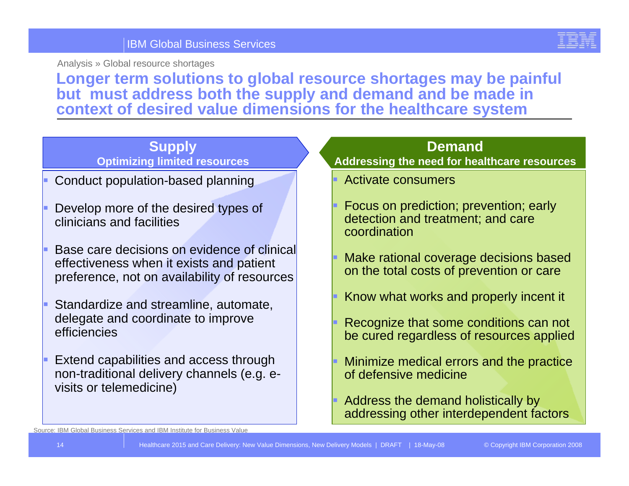

Analysis » Global resource shortage s

**Longer term solutions to global resource shortages may be painful but must address both the supply and demand and be made in context of desired value dimensions for the healthcare system**

#### **Supply Optimizing limited resources**

- Conduct population-based planning
- L Develop more of the desired types of clinicians and facilities
- Base care decisions on evidence of clinical effectiveness when it exists and patient preference, not on availability of resources
- Г Standardize and streamline, automate, delegate and coordinate to improve efficiencies
- Extend capabilities and access through non-traditional delivery channels (e.g. evisits or telemedicine)

#### **Demand**

#### **Addressing the n eed for h ealthcare resources**

- Activate consumers
- Focus on prediction; prevention; early detection and treatment; and care coordination
- Make rational coverage decisions based on the total costs of prevention or care
- Know what works and properly incent it
- Recognize that some conditions can not be cured regardless of r esources applied
- Minimize medical errors and the practice of defensive medicine
- Address the demand holistically by addressing other interdependent factors

Source: IBM Global Business Services and IBM Institute for Business Value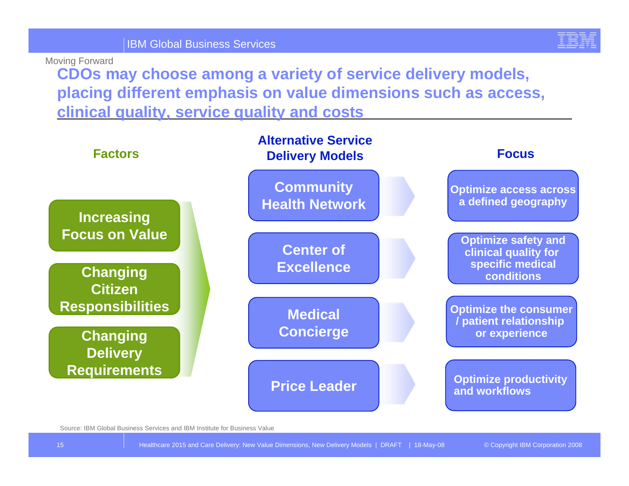

Moving Forward

**CDOs may choose among a variety of service delivery models, placing different emphasis on value dimensions such as access, clinical quality, service quality and costs**

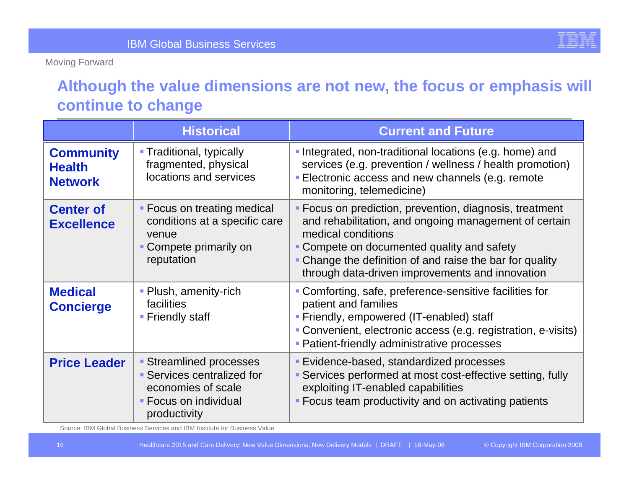Moving Forward

## **Although the value dimensions are not new, the focus or emphasis will continue to change**

|                                                     | <b>Historical</b>                                                                                                  | <b>Current and Future</b>                                                                                                                                                                                                                                                                           |
|-----------------------------------------------------|--------------------------------------------------------------------------------------------------------------------|-----------------------------------------------------------------------------------------------------------------------------------------------------------------------------------------------------------------------------------------------------------------------------------------------------|
| <b>Community</b><br><b>Health</b><br><b>Network</b> | • Traditional, typically<br>fragmented, physical<br>locations and services                                         | • Integrated, non-traditional locations (e.g. home) and<br>services (e.g. prevention / wellness / health promotion)<br><b>Electronic access and new channels (e.g. remote</b><br>monitoring, telemedicine)                                                                                          |
| <b>Center of</b><br><b>Excellence</b>               | • Focus on treating medical<br>conditions at a specific care<br>venue<br>Compete primarily on<br>reputation        | • Focus on prediction, prevention, diagnosis, treatment<br>and rehabilitation, and ongoing management of certain<br>medical conditions<br>• Compete on documented quality and safety<br>• Change the definition of and raise the bar for quality<br>through data-driven improvements and innovation |
| <b>Medical</b><br><b>Concierge</b>                  | • Plush, amenity-rich<br><b>facilities</b><br><b>Friendly staff</b>                                                | • Comforting, safe, preference-sensitive facilities for<br>patient and families<br>• Friendly, empowered (IT-enabled) staff<br>• Convenient, electronic access (e.g. registration, e-visits)<br><b>- Patient-friendly administrative processes</b>                                                  |
| <b>Price Leader</b>                                 | • Streamlined processes<br>• Services centralized for<br>economies of scale<br>Focus on individual<br>productivity | <b>Evidence-based, standardized processes</b><br>• Services performed at most cost-effective setting, fully<br>exploiting IT-enabled capabilities<br>• Focus team productivity and on activating patients                                                                                           |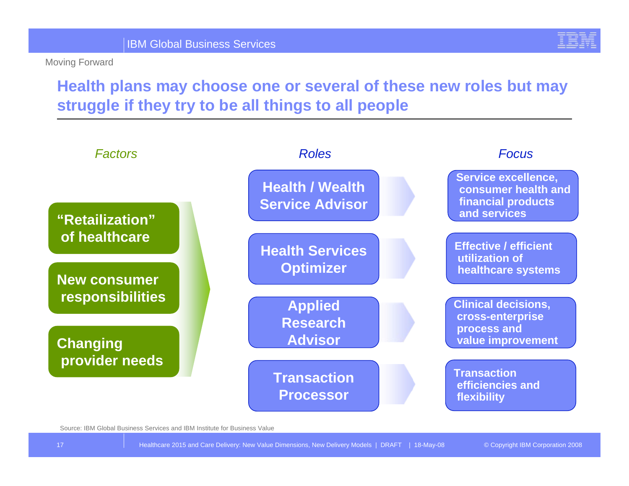Moving Forward

## **Health plans may choose one or several of these new roles but may struggle if they try to be all things to all people**

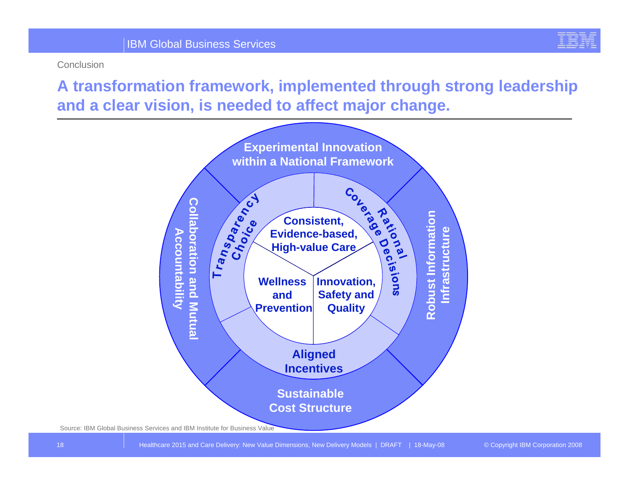

Conclusion

**A transformation framework, implemented through strong leadership and a clear vision, is needed to affect major change.** 

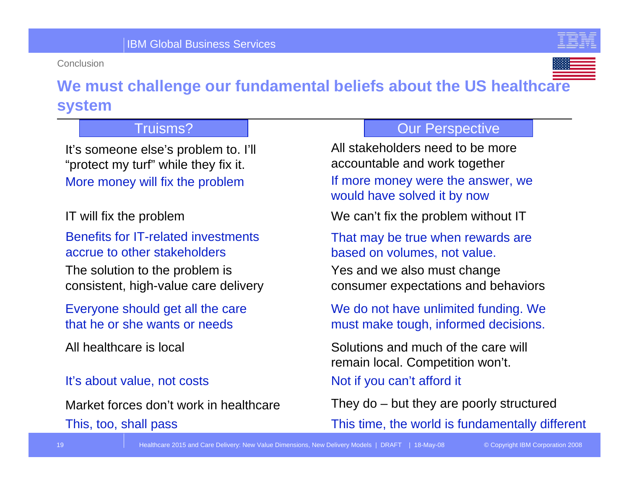Conclusion





## **We must challenge our fundamental beliefs about the US healthcare system**

#### Truisms?

It's someone else's problem to. I'll "protect my turf" while they fix it. More money will fix the problem

Benefits for IT-related investments accrue to other stakeholders

The solution to the problem is consistent, high-value care delivery

Everyone should get all the care that he or she wants or needs

All healthcare is local

#### It's about value, not costs

This, too, shall pass Market forces don't work in healthcare

#### Our Perspective

All stakeholders need to be more accountable and work together If more money were the answer, we would have solved it by now

IT will fix the problem We can't fix the problem without IT

That may be true when rewards are based on volumes, not value.

Yes and we also must change consumer expectations and behaviors

We do not have unlimited funding. We must make tough, informed decisions.

Solutions and much of the care will remain local. Competition won't. Not if you can't afford it

They do – but they are poorly structured

This time, the world is fundamentally different